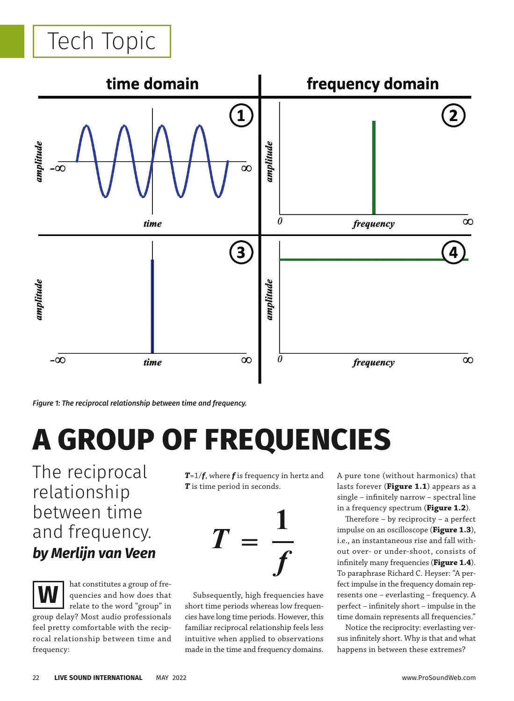## Tech Topic



*Figure 1: The reciprocal relationship between time and frequency.*

# **A GROUP OF FREQUENCIES**

The reciprocal relationship between time and frequency. *by Merlijn van Veen*

**W**

hat constitutes a group of frequencies and how does that relate to the word "group" in

group delay? Most audio professionals feel pretty comfortable with the reciprocal relationship between time and frequency:

*T*=1/*f*, where *f* is frequency in hertz and **T** is time period in seconds.



Subsequently, high frequencies have short time periods whereas low frequencies have long time periods. However, this familiar reciprocal relationship feels less intuitive when applied to observations made in the time and frequency domains. A pure tone (without harmonics) that lasts forever (**Figure 1.1**) appears as a  $single - infinitely narrow - spectral line$ in a frequency spectrum (**Figure 1.2**).

Therefore  $-$  by reciprocity  $-$  a perfect impulse on an oscilloscope (**Figure 1.3**), i.e., an instantaneous rise and fall without over- or under-shoot, consists of infinitely many frequencies (Figure 1.4). To paraphrase Richard C. Heyser: "A perfect impulse in the frequency domain represents one – everlasting – frequency. A perfect – infinitely short – impulse in the time domain represents all frequencies."

Notice the reciprocity: everlasting versus infinitely short. Why is that and what happens in between these extremes?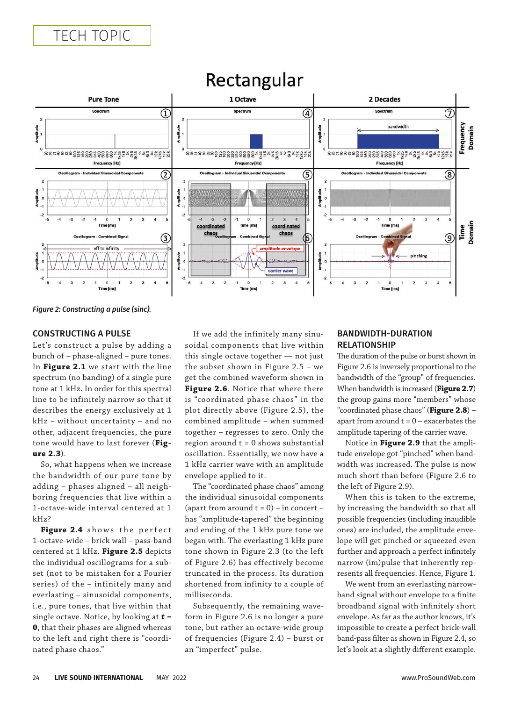

## Rectangular

*Figure 2: Constructing a pulse (sinc).*

#### CONSTRUCTING A PULSE

Let's construct a pulse by adding a bunch of – phase-aligned – pure tones. In **Figure 2.1** we start with the line spectrum (no banding) of a single pure tone at 1 kHz. In order for this spectral line to be infinitely narrow so that it describes the energy exclusively at 1 kHz – without uncertainty – and no other, adjacent frequencies, the pure tone would have to last forever (**Figure 2.3**).

So, what happens when we increase the bandwidth of our pure tone by adding – phases aligned – all neighboring frequencies that live within a 1-octave-wide interval centered at 1 kHz?

Figure 2.4 shows the perfect 1-octave-wide – brick wall – pass-band centered at 1 kHz. **Figure 2.5** depicts the individual oscillograms for a subset (not to be mistaken for a Fourier series) of the – infinitely many and everlasting – sinusoidal components, i.e., pure tones, that live within that single octave. Notice, by looking at *t* = **0**, that their phases are aligned whereas to the left and right there is "coordinated phase chaos."

If we add the infinitely many sinusoidal components that live within this single octave together — not just the subset shown in Figure 2.5 – we get the combined waveform shown in **Figure 2.6**. Notice that where there is "coordinated phase chaos" in the plot directly above (Figure 2.5), the combined amplitude – when summed together – regresses to zero. Only the region around  $t = 0$  shows substantial oscillation. Essentially, we now have a 1 kHz carrier wave with an amplitude envelope applied to it.

The "coordinated phase chaos" among the individual sinusoidal components (apart from around  $t = 0$ ) – in concert – has "amplitude-tapered" the beginning and ending of the 1 kHz pure tone we began with. The everlasting 1 kHz pure tone shown in Figure 2.3 (to the left of Figure 2.6) has effectively become truncated in the process. Its duration shortened from infinity to a couple of milliseconds.

Subsequently, the remaining waveform in Figure 2.6 is no longer a pure tone, but rather an octave-wide group of frequencies (Figure 2.4) – burst or an "imperfect" pulse.

#### BANDWIDTH-DURATION RELATIONSHIP

The duration of the pulse or burst shown in Figure 2.6 is inversely proportional to the bandwidth of the "group" of frequencies. When bandwidth is increased (**Figure 2.7**) the group gains more "members" whose "coordinated phase chaos" (**Figure 2.8**) – apart from around  $t = 0 -$  exacerbates the amplitude tapering of the carrier wave.

Notice in **Figure 2.9** that the amplitude envelope got "pinched" when bandwidth was increased. The pulse is now much short than before (Figure 2.6 to the left of Figure 2.9).

When this is taken to the extreme, by increasing the bandwidth so that all possible frequencies (including inaudible ones) are included, the amplitude envelope will get pinched or squeezed even further and approach a perfect infinitely narrow (im)pulse that inherently represents all frequencies. Hence, Figure 1.

We went from an everlasting narrowband signal without envelope to a finite broadband signal with infinitely short envelope. As far as the author knows, it's impossible to create a perfect brick-wall band-pass filter as shown in Figure 2.4, so let's look at a slightly different example.